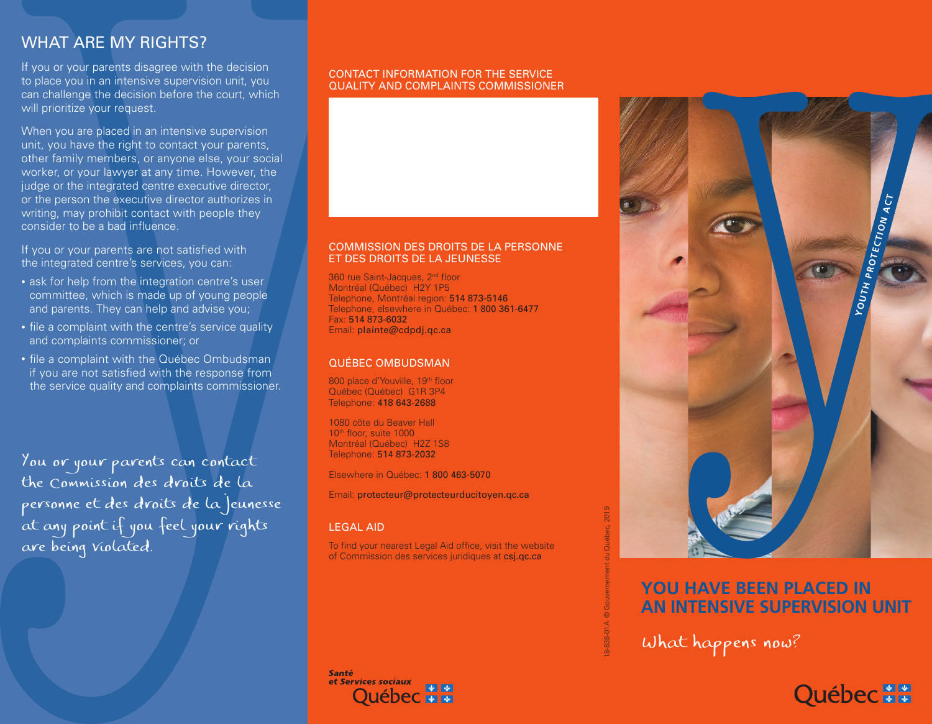# WHAT ARE MY RIGHTS?

If you or your parents disagree with the decision to place you in an intensive supervision unit, you can challenge the decision before the court, which will prioritize your request.

When you are placed in an intensive supervision unit, you have the right to contact your parents, other family members, or anyone else, your social worker, or your lawyer at any time. However, the judge or the integrated centre executive director, or the person the executive director authorizes in writing, may prohibit contact with people they consider to be a bad influence.

If you or your parents are not satisfied with the integrated centre's services, you can:

- ask for help from the integration centre's user committee, which is made up of young people and parents. They can help and advise you;
- file a complaint with the centre's service quality and complaints commissioner; or
- file a complaint with the Québec Ombudsman if you are not satisfied with the response from the service quality and complaints commissioner.

You or your parents can contact the Commission des droits de la personne et des droits de la jeunesse at any point if you feel your rights are being violated.

## CONTACT INFORMATION FOR THE SERVICE QUALITY AND COMPLAINTS COMMISSIONER

## COMMISSION DES DROITS DE LA PERSONNE ET DES DROITS DE LA JEUNESSE

360 rue Saint-Jacques, 2<sup>nd</sup> floor Montréal (Québec) H2Y 1P5 Telephone, Montréal region: 514 873-5146 Telephone, elsewhere in Québec: 1 800 361-6477 Fax: 514 873-6032 Email: plainte@cdpdj.qc.ca

# QUÉBEC OMBUDSMAN

800 place d'Youville, 19<sup>th</sup> floor Québec (Québec) G1R 3P4 Telephone: 418 643-2688

1080 côte du Beaver Hall 10<sup>th</sup> floor, suite 1000 Montréal (Québec) H2Z 1S8 Telephone: 514 873-2032

Elsewhere in Québec: 1 800 463-5070

Email: protecteur@protecteurducitoyen.qc.ca

# LEGAL AID

To find your nearest Legal Aid office, visit the website of Commission des services juridiques at csj.qc.ca

**Santé** et Services sociaux



# **YOUTH PROTECTION ACT**

# **YOU HAVE BEEN PLACED IN AN INTENSIVE SUPERVISION UNIT**

What happens now?

# Québec ##